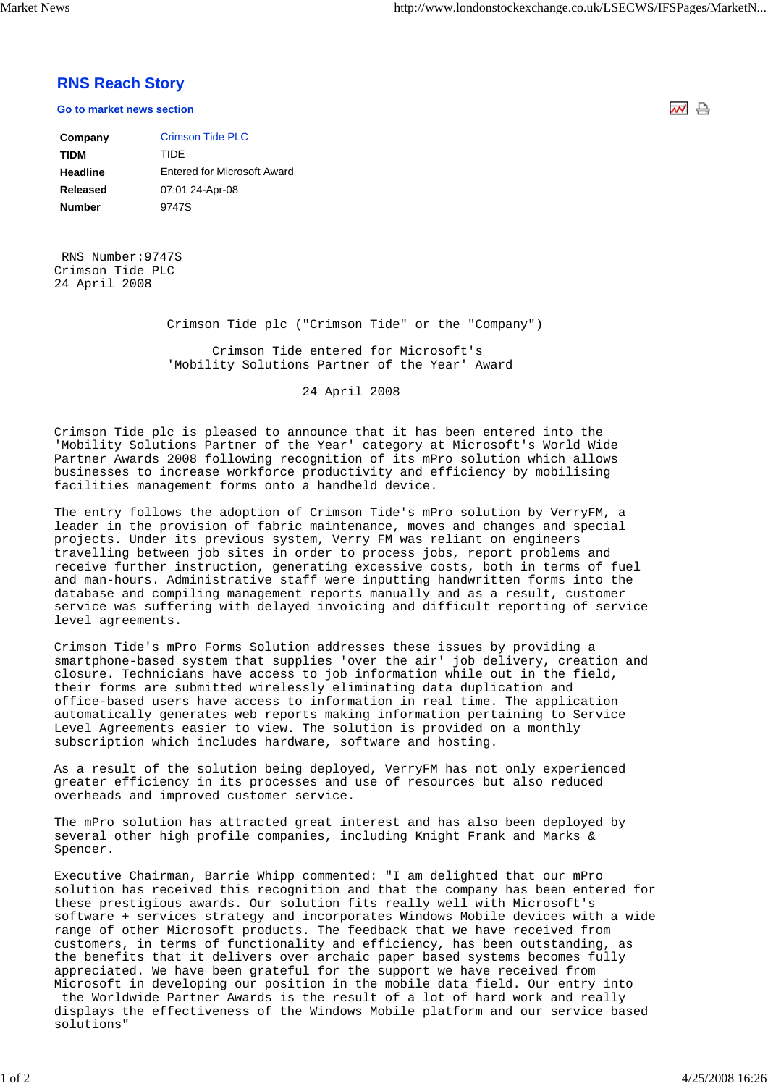## **RNS Reach Story**

**Go to market news section**

| Company       | <b>Crimson Tide PLC</b>            |
|---------------|------------------------------------|
| <b>TIDM</b>   | TIDE                               |
| Headline      | <b>Entered for Microsoft Award</b> |
| Released      | 07:01 24-Apr-08                    |
| <b>Number</b> | 9747S                              |

 RNS Number:9747S Crimson Tide PLC 24 April 2008

Crimson Tide plc ("Crimson Tide" or the "Company")

 Crimson Tide entered for Microsoft's 'Mobility Solutions Partner of the Year' Award

24 April 2008

Crimson Tide plc is pleased to announce that it has been entered into the 'Mobility Solutions Partner of the Year' category at Microsoft's World Wide Partner Awards 2008 following recognition of its mPro solution which allows businesses to increase workforce productivity and efficiency by mobilising facilities management forms onto a handheld device.

The entry follows the adoption of Crimson Tide's mPro solution by VerryFM, a leader in the provision of fabric maintenance, moves and changes and special projects. Under its previous system, Verry FM was reliant on engineers travelling between job sites in order to process jobs, report problems and receive further instruction, generating excessive costs, both in terms of fuel and man-hours. Administrative staff were inputting handwritten forms into the database and compiling management reports manually and as a result, customer service was suffering with delayed invoicing and difficult reporting of service level agreements.

Crimson Tide's mPro Forms Solution addresses these issues by providing a smartphone-based system that supplies 'over the air' job delivery, creation and closure. Technicians have access to job information while out in the field, their forms are submitted wirelessly eliminating data duplication and office-based users have access to information in real time. The application automatically generates web reports making information pertaining to Service Level Agreements easier to view. The solution is provided on a monthly subscription which includes hardware, software and hosting.

As a result of the solution being deployed, VerryFM has not only experienced greater efficiency in its processes and use of resources but also reduced overheads and improved customer service.

The mPro solution has attracted great interest and has also been deployed by several other high profile companies, including Knight Frank and Marks & Spencer.

Executive Chairman, Barrie Whipp commented: "I am delighted that our mPro solution has received this recognition and that the company has been entered for these prestigious awards. Our solution fits really well with Microsoft's software + services strategy and incorporates Windows Mobile devices with a wide range of other Microsoft products. The feedback that we have received from customers, in terms of functionality and efficiency, has been outstanding, as the benefits that it delivers over archaic paper based systems becomes fully appreciated. We have been grateful for the support we have received from Microsoft in developing our position in the mobile data field. Our entry into the Worldwide Partner Awards is the result of a lot of hard work and really displays the effectiveness of the Windows Mobile platform and our service based solutions"

써 습